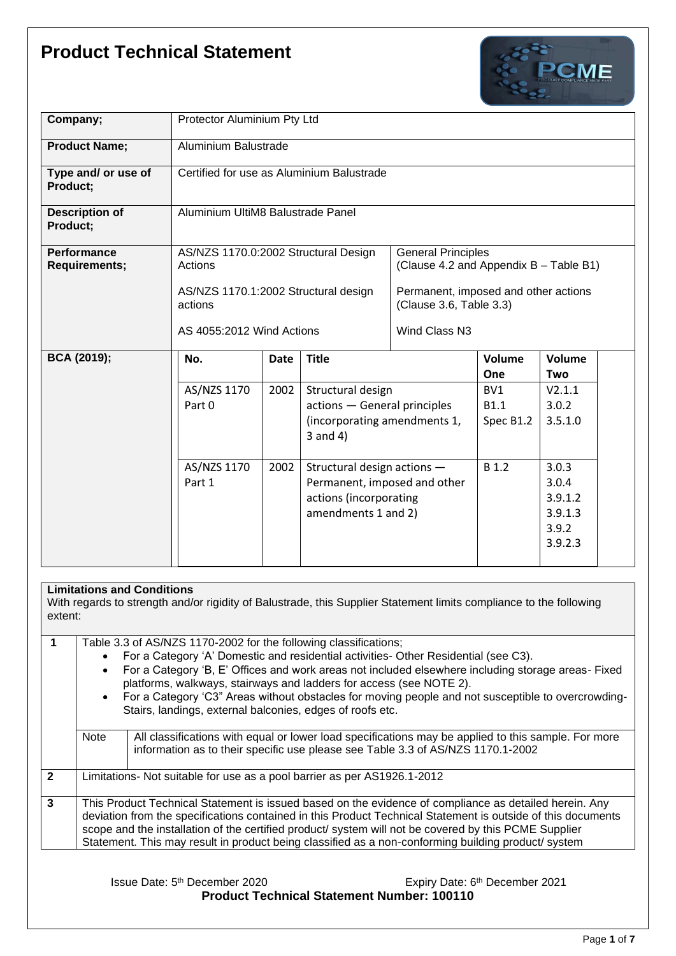

| Company;                                   | Protector Aluminium Pty Ltd                     |             |                                                                                                              |                                                                     |                                 |                                                          |  |  |
|--------------------------------------------|-------------------------------------------------|-------------|--------------------------------------------------------------------------------------------------------------|---------------------------------------------------------------------|---------------------------------|----------------------------------------------------------|--|--|
| <b>Product Name;</b>                       | Aluminium Balustrade                            |             |                                                                                                              |                                                                     |                                 |                                                          |  |  |
| Type and/ or use of<br>Product;            | Certified for use as Aluminium Balustrade       |             |                                                                                                              |                                                                     |                                 |                                                          |  |  |
| <b>Description of</b><br>Product;          | Aluminium UltiM8 Balustrade Panel               |             |                                                                                                              |                                                                     |                                 |                                                          |  |  |
| <b>Performance</b><br><b>Requirements;</b> | AS/NZS 1170.0:2002 Structural Design<br>Actions |             |                                                                                                              | <b>General Principles</b><br>(Clause 4.2 and Appendix B - Table B1) |                                 |                                                          |  |  |
|                                            | AS/NZS 1170.1:2002 Structural design<br>actions |             |                                                                                                              | Permanent, imposed and other actions<br>(Clause 3.6, Table 3.3)     |                                 |                                                          |  |  |
|                                            | AS 4055:2012 Wind Actions                       |             |                                                                                                              | Wind Class N3                                                       |                                 |                                                          |  |  |
| <b>BCA (2019);</b>                         | No.                                             | <b>Date</b> | <b>Title</b>                                                                                                 |                                                                     | Volume<br><b>One</b>            | Volume<br>Two                                            |  |  |
|                                            | AS/NZS 1170<br>Part 0                           | 2002        | Structural design<br>actions - General principles<br>(incorporating amendments 1,<br>$3$ and $4)$            |                                                                     | BV1<br><b>B1.1</b><br>Spec B1.2 | V2.1.1<br>3.0.2<br>3.5.1.0                               |  |  |
|                                            | AS/NZS 1170<br>Part 1                           | 2002        | Structural design actions -<br>Permanent, imposed and other<br>actions (incorporating<br>amendments 1 and 2) |                                                                     | <b>B</b> 1.2                    | 3.0.3<br>3.0.4<br>3.9.1.2<br>3.9.1.3<br>3.9.2<br>3.9.2.3 |  |  |

## **Limitations and Conditions**

With regards to strength and/or rigidity of Balustrade, this Supplier Statement limits compliance to the following extent:

|                |             | Table 3.3 of AS/NZS 1170-2002 for the following classifications;<br>For a Category 'A' Domestic and residential activities- Other Residential (see C3).<br>For a Category 'B, E' Offices and work areas not included elsewhere including storage areas- Fixed<br>platforms, walkways, stairways and ladders for access (see NOTE 2).<br>For a Category 'C3" Areas without obstacles for moving people and not susceptible to overcrowding-<br>Stairs, landings, external balconies, edges of roofs etc. |  |  |  |  |
|----------------|-------------|---------------------------------------------------------------------------------------------------------------------------------------------------------------------------------------------------------------------------------------------------------------------------------------------------------------------------------------------------------------------------------------------------------------------------------------------------------------------------------------------------------|--|--|--|--|
|                | <b>Note</b> | All classifications with equal or lower load specifications may be applied to this sample. For more<br>information as to their specific use please see Table 3.3 of AS/NZS 1170.1-2002                                                                                                                                                                                                                                                                                                                  |  |  |  |  |
| $\overline{2}$ |             | Limitations- Not suitable for use as a pool barrier as per AS1926.1-2012                                                                                                                                                                                                                                                                                                                                                                                                                                |  |  |  |  |
| $\mathbf{3}$   |             | This Product Technical Statement is issued based on the evidence of compliance as detailed herein. Any<br>deviation from the specifications contained in this Product Technical Statement is outside of this documents<br>scope and the installation of the certified product/ system will not be covered by this PCME Supplier<br>Statement. This may result in product being classified as a non-conforming building product/ system                                                                  |  |  |  |  |

Issue Date: 5<sup>th</sup> December 2020 **Expiry Date: 6** Expiry Date: 6 Expiry Date: 6<sup>th</sup> December 2021 **Product Technical Statement Number: 100110**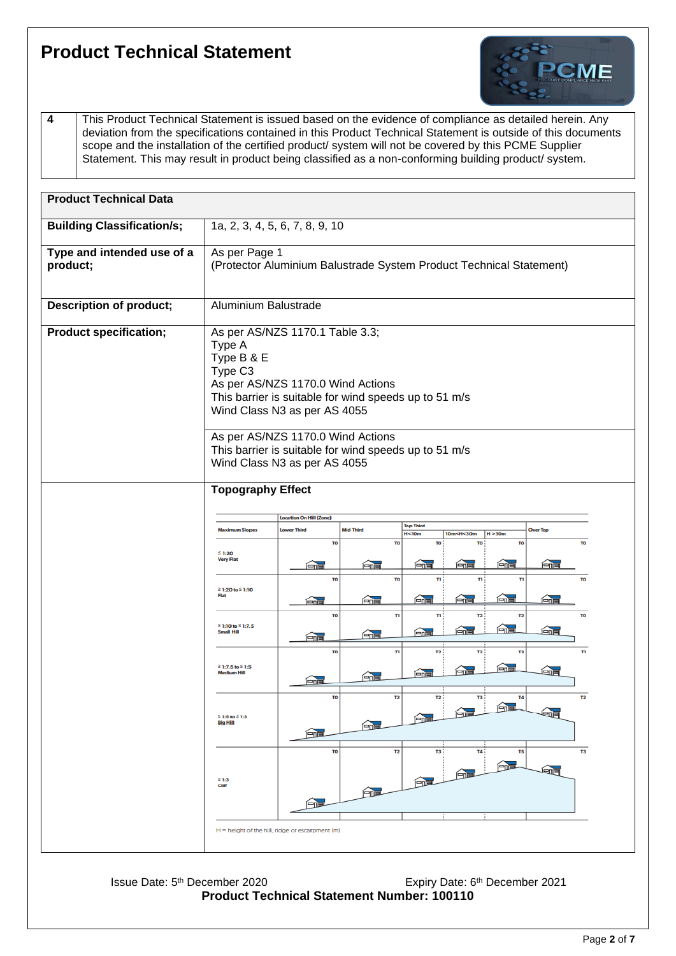

**4** This Product Technical Statement is issued based on the evidence of compliance as detailed herein. Any deviation from the specifications contained in this Product Technical Statement is outside of this documents scope and the installation of the certified product/ system will not be covered by this PCME Supplier Statement. This may result in product being classified as a non-conforming building product/ system.

| <b>Product Technical Data</b>          |                                                                                                                                                                                                              |                                |               |                             |                              |                  |    |  |  |  |
|----------------------------------------|--------------------------------------------------------------------------------------------------------------------------------------------------------------------------------------------------------------|--------------------------------|---------------|-----------------------------|------------------------------|------------------|----|--|--|--|
| <b>Building Classification/s;</b>      |                                                                                                                                                                                                              | 1a, 2, 3, 4, 5, 6, 7, 8, 9, 10 |               |                             |                              |                  |    |  |  |  |
| Type and intended use of a<br>product; | As per Page 1<br>(Protector Aluminium Balustrade System Product Technical Statement)                                                                                                                         |                                |               |                             |                              |                  |    |  |  |  |
| <b>Description of product;</b>         | Aluminium Balustrade                                                                                                                                                                                         |                                |               |                             |                              |                  |    |  |  |  |
| <b>Product specification;</b>          | As per AS/NZS 1170.1 Table 3.3;<br>Type A<br>Type B & E<br>Type C <sub>3</sub><br>As per AS/NZS 1170.0 Wind Actions<br>This barrier is suitable for wind speeds up to 51 m/s<br>Wind Class N3 as per AS 4055 |                                |               |                             |                              |                  |    |  |  |  |
|                                        | As per AS/NZS 1170.0 Wind Actions<br>This barrier is suitable for wind speeds up to 51 m/s<br>Wind Class N3 as per AS 4055                                                                                   |                                |               |                             |                              |                  |    |  |  |  |
|                                        | <b>Topography Effect</b>                                                                                                                                                                                     |                                |               |                             |                              |                  |    |  |  |  |
|                                        | <b>Location On Hill (Zone)</b><br><b>Top Third</b><br><b>Mid Third</b><br><b>Maximum Slopes</b><br><b>Lower Third</b><br><b>Over Top</b><br>H<10m<br>10m <h<30m<br>H &gt; 30m</h<30m<br>                     |                                |               |                             |                              |                  |    |  |  |  |
|                                        | TO<br><b>TO</b><br>TO:<br>TO:<br><b>TO</b><br><b>TO</b><br>$\leq 1:20$<br><b>Very Flat</b><br>$\bigcap_{i=1}^n$<br><b>And</b><br><u>an </u><br>é –<br>命画<br><b>Ener</b>                                      |                                |               |                             |                              |                  |    |  |  |  |
|                                        | <b>TO</b><br><b>TO</b><br>n:<br>п÷<br>n<br><b>TO</b><br>≥ 1:20 to ≤ 1:10<br>Flat<br>合唱<br><b>Formal</b><br><u>fenal</u><br>孟福<br><b>Form</b><br>$\bigcap_{n=1}^{\infty}$                                     |                                |               |                             |                              |                  |    |  |  |  |
|                                        | T <sub>0</sub><br>'n<br>$\mathbf{n}$ :<br>T2<br>T2<br><b>TO</b><br>$\geq 1:10$ to $\leq 1:7.5$<br>é <b>z</b><br>Æ<br><b>Anal</b><br>$\widehat{\mathbb{H}}$<br><b>Small Hill</b><br><u>And</u><br>Æ           |                                |               |                             |                              |                  |    |  |  |  |
|                                        | n<br>T2 :<br>T2<br>T3<br>TI<br>TO<br>≥ 1:7.5 to ≤ 1:5<br>白唱<br><b>And</b><br>命<br>é <b>d</b><br><b>Medium Hill</b><br>FOR<br>□■                                                                              |                                |               |                             |                              |                  |    |  |  |  |
|                                        | $21:5$ to $41:3$<br>Big Hill                                                                                                                                                                                 | TO<br>白眉                       | <b>Formal</b> | T2<br>T2:<br>命記             | тз:<br>倫置<br>$\bigoplus$     | <b>T4</b><br>ena | T2 |  |  |  |
|                                        | $\geq 1:3$<br>Cliff                                                                                                                                                                                          | <b>TO</b><br>白信                | <b>Add</b>    | T <sub>2</sub><br>тз:<br>白面 | T4 :<br>白頂<br>$\overline{a}$ | T5<br><b>ena</b> | T3 |  |  |  |
|                                        | $H =$ height of the hill, ridge or escarpment (m)                                                                                                                                                            |                                |               |                             |                              |                  |    |  |  |  |

Issue Date: 5<sup>th</sup> December 2020 **Expiry Date: 6** Expiry Date: 6 Expiry Date: 6<sup>th</sup> December 2021 **Product Technical Statement Number: 100110**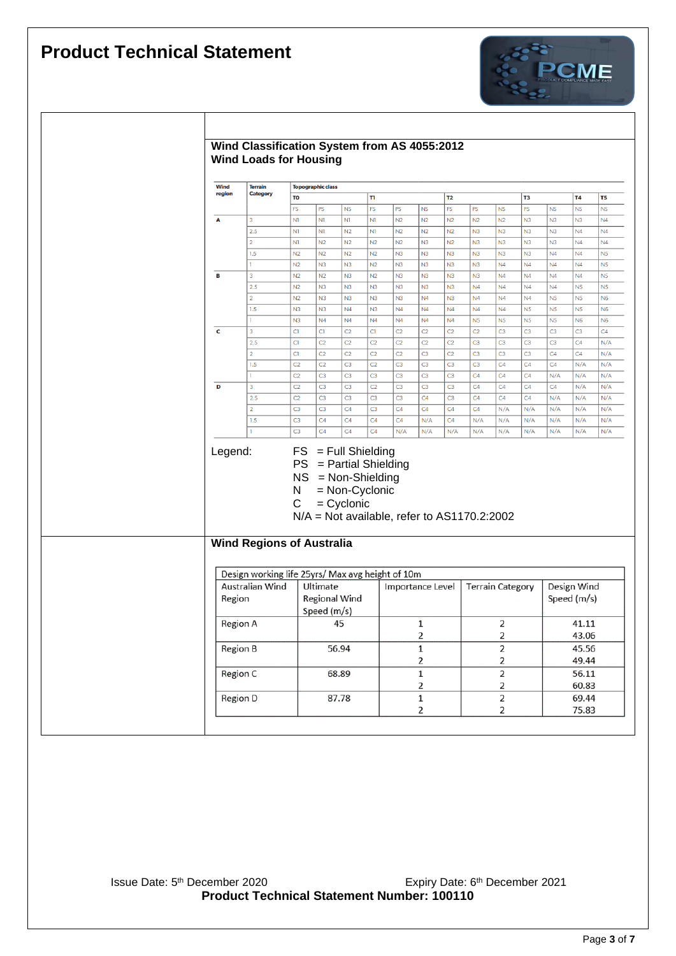$\lceil$ 



| Wind<br>region | <b>Terrain</b><br><b>Category</b>                | <b>Topographic class</b>         |                                                                                                   |                                |                |                |                               |                       |                |                                  |                |                |                            |                |
|----------------|--------------------------------------------------|----------------------------------|---------------------------------------------------------------------------------------------------|--------------------------------|----------------|----------------|-------------------------------|-----------------------|----------------|----------------------------------|----------------|----------------|----------------------------|----------------|
|                |                                                  | TO                               |                                                                                                   |                                | n              |                |                               | T <sub>2</sub>        |                |                                  | T3             |                | <b>T4</b>                  | T <sub>5</sub> |
|                |                                                  | <b>FS</b>                        | PS                                                                                                | <b>NS</b>                      | FS             | PS             | <b>NS</b>                     | FS                    | PS             | <b>NS</b>                        | PS             | NS             | <b>NS</b>                  | <b>NS</b>      |
| Α              | 3                                                | N1                               | N1                                                                                                | N1                             | N1             | N <sub>2</sub> | N <sub>2</sub>                | N <sub>2</sub>        | N <sub>2</sub> | N <sub>2</sub>                   | N <sub>3</sub> | N <sub>3</sub> | N <sub>3</sub>             | N <sub>4</sub> |
|                | 2.5                                              | N1                               | N1                                                                                                | N2                             | N1             | N <sub>2</sub> | N2                            | N2                    | N <sub>3</sub> | N <sub>3</sub>                   | N <sub>3</sub> | N <sub>3</sub> | N4                         | N <sub>4</sub> |
|                | $\overline{2}$                                   | N1                               | N2                                                                                                | N2                             | N2             | N2             | N3                            | N2                    | N3             | N <sub>3</sub>                   | N <sub>3</sub> | N <sub>3</sub> | N <sub>4</sub>             | N <sub>4</sub> |
|                | 1.5                                              | N2                               | N <sub>2</sub>                                                                                    | N2                             | N2             | N <sub>3</sub> | N3                            | N <sub>3</sub>        | N3             | N <sub>3</sub>                   | N <sub>3</sub> | N <sub>4</sub> | N <sub>4</sub>             | N <sub>5</sub> |
|                | ı                                                | N2                               | N3                                                                                                | N3                             | N <sub>2</sub> | N <sub>3</sub> | N <sub>3</sub>                | N <sub>3</sub>        | N <sub>3</sub> | N <sub>4</sub>                   | N <sub>4</sub> | N <sub>4</sub> | N <sub>4</sub>             | N <sub>5</sub> |
| В              | 3                                                | N2                               | N <sub>2</sub>                                                                                    | N3                             | N2             | N <sub>3</sub> | N <sub>3</sub>                | N3                    | N3             | N <sub>4</sub>                   | N <sub>4</sub> | N <sub>4</sub> | N4                         | N <sub>5</sub> |
|                | 2.5                                              | N <sub>2</sub>                   | N3                                                                                                | N3                             | N3             | N3             | N <sub>3</sub>                | N3                    | N <sub>4</sub> | N <sub>4</sub>                   | N <sub>4</sub> | N <sub>4</sub> | N <sub>5</sub>             | N <sub>5</sub> |
|                | $\overline{2}$                                   | N2                               | N <sub>3</sub>                                                                                    | N3                             | N <sub>3</sub> | N <sub>3</sub> | N <sub>4</sub>                | N <sub>3</sub>        | N <sub>4</sub> | N <sub>4</sub>                   | N <sub>4</sub> | N <sub>5</sub> | N <sub>5</sub>             | N <sub>6</sub> |
|                | 1.5                                              | N <sub>3</sub>                   | N3                                                                                                | N <sub>4</sub>                 | N3             | N <sub>4</sub> | N <sub>4</sub>                | N <sub>4</sub>        | N4             | N4                               | N <sub>5</sub> | N <sub>5</sub> | N <sub>5</sub>             | N <sub>6</sub> |
|                | ï                                                | N <sub>3</sub>                   | N <sub>4</sub>                                                                                    | N <sub>4</sub>                 | N <sub>4</sub> | N <sub>4</sub> | N <sub>4</sub>                | N <sub>4</sub>        | N <sub>5</sub> | N <sub>5</sub>                   | N <sub>5</sub> | N <sub>5</sub> | N <sub>6</sub>             | <b>N6</b>      |
| c              | 3                                                | CI                               | C1                                                                                                | C <sub>2</sub>                 | CI             | C <sub>2</sub> | C <sub>2</sub>                | C <sub>2</sub>        | C <sub>2</sub> | C <sub>3</sub>                   | C <sub>3</sub> | C <sub>3</sub> | C <sub>3</sub>             | C4             |
|                | 2.5                                              | <b>C1</b>                        | C <sub>2</sub>                                                                                    | C <sub>2</sub>                 | C <sub>2</sub> | C <sub>2</sub> | C <sub>2</sub>                | C <sub>2</sub>        | C <sub>3</sub> | C <sub>3</sub>                   | C <sub>3</sub> | C <sub>3</sub> | C4                         | N/A            |
|                | $\overline{2}$                                   | <b>C1</b>                        | C <sub>2</sub>                                                                                    | C <sub>2</sub>                 | C <sub>2</sub> | C <sub>2</sub> | C <sub>3</sub>                | C <sub>2</sub>        | C <sub>3</sub> | C <sub>3</sub>                   | C <sub>3</sub> | C4             | C4                         | N/A            |
|                | 1.5                                              | C <sub>2</sub>                   | C <sub>2</sub>                                                                                    | C <sub>3</sub>                 | C <sub>2</sub> | C <sub>3</sub> | C <sub>3</sub>                | C <sub>3</sub>        | C <sub>3</sub> | C <sub>4</sub>                   | C <sub>4</sub> | C <sub>4</sub> | N/A                        | N/A            |
|                | ı                                                | C <sub>2</sub>                   | C <sub>3</sub>                                                                                    | C <sub>3</sub>                 | C <sub>3</sub> | C <sub>3</sub> | C <sub>3</sub>                | C <sub>3</sub>        | C <sub>4</sub> | C4                               | C4             | N/A            | N/A                        | N/A            |
| D              | 3                                                | C <sub>2</sub>                   | C <sub>3</sub>                                                                                    | C <sub>3</sub>                 | C <sub>2</sub> | C <sub>3</sub> | C <sub>3</sub>                | C <sub>3</sub>        | C4             | C <sub>4</sub>                   | C4             | C <sub>4</sub> | N/A                        | N/A            |
|                | 2.5                                              | C <sub>2</sub>                   | C <sub>3</sub>                                                                                    | C <sub>3</sub>                 | C <sub>3</sub> | C3             | C4                            | C <sub>3</sub>        | C4             | C4                               | C4             | N/A            | N/A                        | N/A            |
|                | $\overline{2}$                                   | C <sub>3</sub>                   | C <sub>3</sub>                                                                                    | C4                             | C <sub>3</sub> | C4             | C4                            | C <sub>4</sub>        | C4             | N/A                              | N/A            | N/A            | N/A                        | N/A            |
|                |                                                  |                                  |                                                                                                   |                                |                |                |                               |                       |                |                                  |                |                |                            |                |
|                |                                                  |                                  |                                                                                                   |                                |                |                |                               |                       |                |                                  |                |                |                            |                |
|                | 1.5                                              | C <sub>3</sub><br>C <sub>3</sub> | C <sub>4</sub><br>C4<br>$FS = Full Shielding$                                                     | C4<br>C4                       | C4<br>C4       | C4<br>N/A      | N/A<br>N/A                    | C <sub>4</sub><br>N/A | N/A<br>N/A     | N/A<br>N/A                       | N/A<br>N/A     | N/A<br>N/A     | N/A<br>N/A                 |                |
| Legend:        | <b>Wind Regions of Australia</b>                 | N<br>C                           | $PS = Partial Shielding$<br>$NS = Non-Shielding$<br>$N/A$ = Not available, refer to AS1170.2:2002 | = Non-Cyclonic<br>$=$ Cyclonic |                |                |                               |                       |                |                                  |                |                |                            |                |
|                | Design working life 25yrs/ Max avg height of 10m |                                  |                                                                                                   |                                |                |                |                               |                       |                |                                  |                |                |                            | N/A<br>N/A     |
| Region         | Australian Wind                                  |                                  | Ultimate<br><b>Regional Wind</b><br>Speed (m/s)                                                   |                                |                |                | Importance Level              |                       |                | <b>Terrain Category</b>          |                |                | Design Wind<br>Speed (m/s) |                |
| Region A       |                                                  |                                  |                                                                                                   | 45                             |                |                | 1                             |                       |                | 2                                |                |                | 41.11                      |                |
|                |                                                  |                                  |                                                                                                   |                                |                |                | 2                             |                       |                | $\overline{\mathbf{c}}$          |                |                | 43.06                      |                |
| Region B       |                                                  |                                  |                                                                                                   | 56.94                          |                |                | 1<br>2                        |                       |                | $\overline{2}$<br>$\overline{2}$ |                |                | 45.56<br>49.44             |                |
| Region C       |                                                  |                                  |                                                                                                   | 68.89                          |                |                | $\mathbf 1$                   |                       |                | $\overline{2}$                   |                |                | 56.11                      |                |
|                | Region D                                         |                                  |                                                                                                   | 87.78                          |                |                | $\overline{2}$<br>$\mathbf 1$ |                       |                | $\overline{2}$<br>$\overline{2}$ |                |                | 60.83<br>69.44             |                |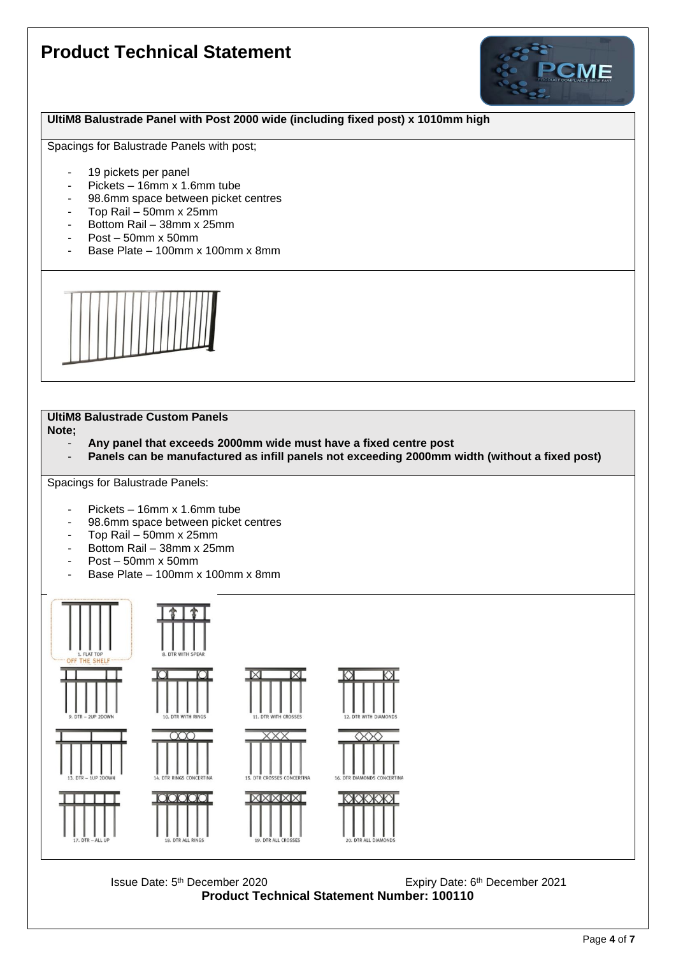

#### **UltiM8 Balustrade Panel with Post 2000 wide (including fixed post) x 1010mm high**

Spacings for Balustrade Panels with post;

- 19 pickets per panel
- Pickets 16mm x 1.6mm tube
- 98.6mm space between picket centres
- Top Rail 50mm x 25mm
- Bottom Rail 38mm x 25mm
- Post 50mm x 50mm
- Base Plate 100mm x 100mm x 8mm



## **UltiM8 Balustrade Custom Panels**

**Note;**

- **Any panel that exceeds 2000mm wide must have a fixed centre post**
- **Panels can be manufactured as infill panels not exceeding 2000mm width (without a fixed post)**

Spacings for Balustrade Panels:

- Pickets 16mm x 1.6mm tube
- 98.6mm space between picket centres
- Top Rail 50mm x 25mm
- Bottom Rail 38mm x 25mm
- Post 50mm x 50mm
- Base Plate 100mm x 100mm x 8mm



Issue Date: 5<sup>th</sup> December 2020 **Expiry Date: 6** Expiry Date: 6 Expiry Date: 6<sup>th</sup> December 2021 **Product Technical Statement Number: 100110**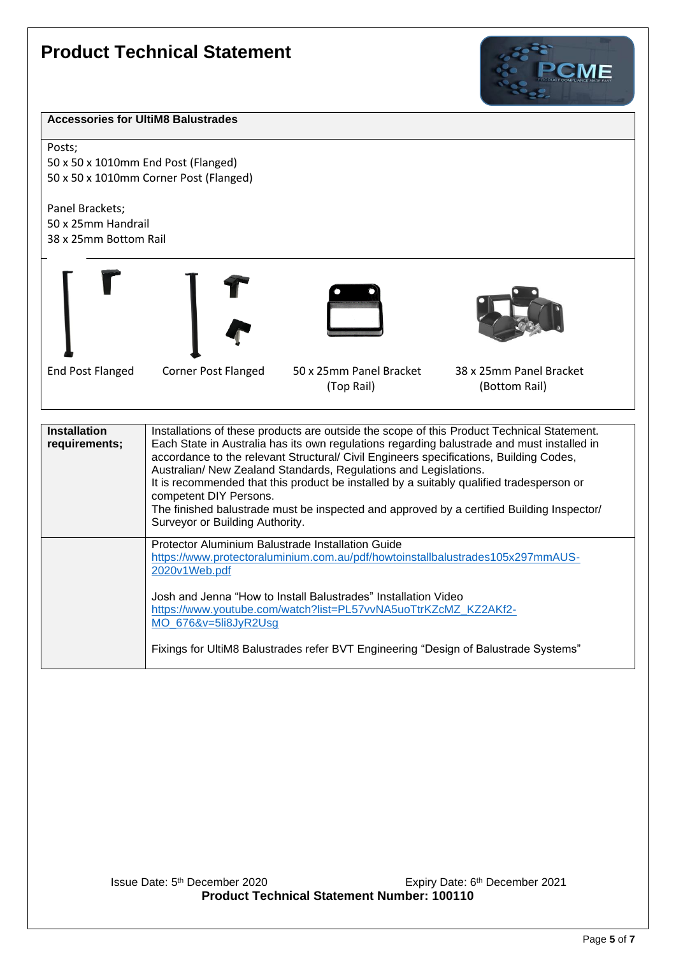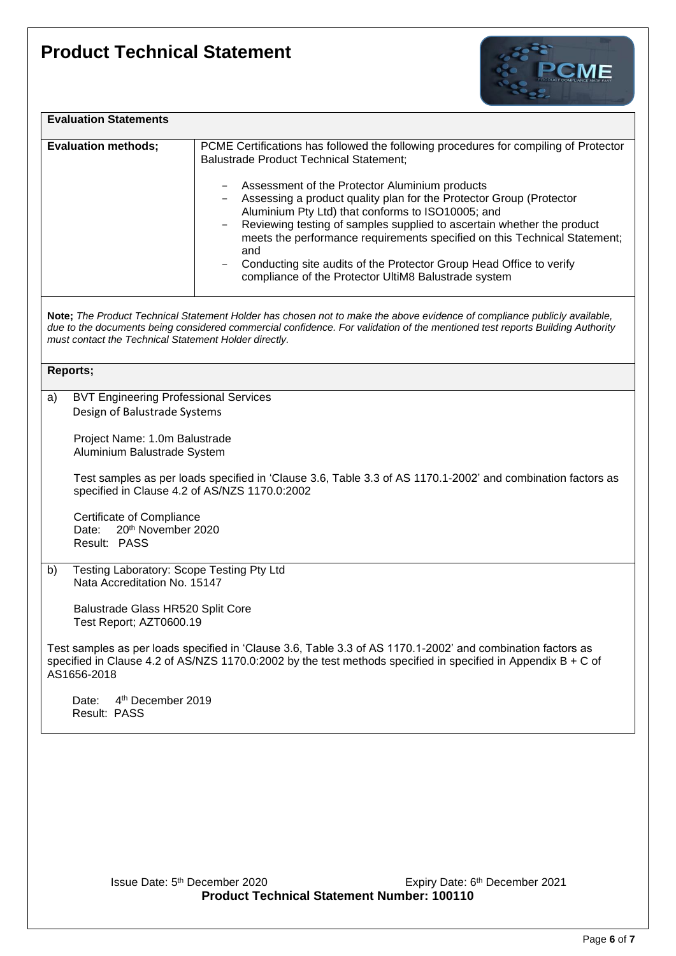

| <b>Evaluation Statements</b> |                                                                                                                                                                                                                                                                                                                                                                                                                       |
|------------------------------|-----------------------------------------------------------------------------------------------------------------------------------------------------------------------------------------------------------------------------------------------------------------------------------------------------------------------------------------------------------------------------------------------------------------------|
| <b>Evaluation methods;</b>   | PCME Certifications has followed the following procedures for compiling of Protector<br><b>Balustrade Product Technical Statement;</b><br>Assessment of the Protector Aluminium products                                                                                                                                                                                                                              |
|                              | Assessing a product quality plan for the Protector Group (Protector<br>Aluminium Pty Ltd) that conforms to ISO10005; and<br>Reviewing testing of samples supplied to ascertain whether the product<br>meets the performance requirements specified on this Technical Statement;<br>and<br>Conducting site audits of the Protector Group Head Office to verify<br>compliance of the Protector UltiM8 Balustrade system |
|                              | Nata: The Duaduat Technical Otatement Ualderbee chases not to make the chaire suidence of commissions mublicly qualichle                                                                                                                                                                                                                                                                                              |

**Note;** *The Product Technical Statement Holder has chosen not to make the above evidence of compliance publicly available, due to the documents being considered commercial confidence. For validation of the mentioned test reports Building Authority must contact the Technical Statement Holder directly.*

|    | Reports;                                                                                                                                                                                                                                      |
|----|-----------------------------------------------------------------------------------------------------------------------------------------------------------------------------------------------------------------------------------------------|
| a) | <b>BVT Engineering Professional Services</b><br>Design of Balustrade Systems                                                                                                                                                                  |
|    | Project Name: 1.0m Balustrade<br>Aluminium Balustrade System                                                                                                                                                                                  |
|    | Test samples as per loads specified in 'Clause 3.6, Table 3.3 of AS 1170.1-2002' and combination factors as<br>specified in Clause 4.2 of AS/NZS 1170.0:2002                                                                                  |
|    | Certificate of Compliance<br>20 <sup>th</sup> November 2020<br>Date:<br>Result: PASS                                                                                                                                                          |
| b) | Testing Laboratory: Scope Testing Pty Ltd<br>Nata Accreditation No. 15147                                                                                                                                                                     |
|    | Balustrade Glass HR520 Split Core<br>Test Report; AZT0600.19                                                                                                                                                                                  |
|    | Test samples as per loads specified in 'Clause 3.6, Table 3.3 of AS 1170.1-2002' and combination factors as<br>specified in Clause 4.2 of AS/NZS 1170.0:2002 by the test methods specified in specified in Appendix $B + C$ of<br>AS1656-2018 |
|    | 4 <sup>th</sup> December 2019<br>Date:<br>Result: PASS                                                                                                                                                                                        |